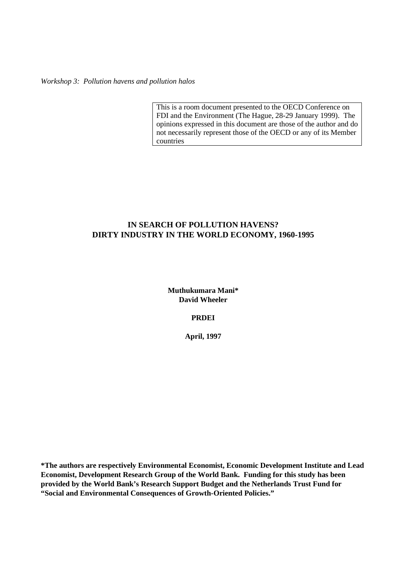*Workshop 3: Pollution havens and pollution halos*

This is a room document presented to the OECD Conference on FDI and the Environment (The Hague, 28-29 January 1999). The opinions expressed in this document are those of the author and do not necessarily represent those of the OECD or any of its Member countries

# **IN SEARCH OF POLLUTION HAVENS? DIRTY INDUSTRY IN THE WORLD ECONOMY, 1960-1995**

**Muthukumara Mani\* David Wheeler**

**PRDEI**

**April, 1997**

**\*The authors are respectively Environmental Economist, Economic Development Institute and Lead Economist, Development Research Group of the World Bank. Funding for this study has been provided by the World Bank's Research Support Budget and the Netherlands Trust Fund for "Social and Environmental Consequences of Growth-Oriented Policies."**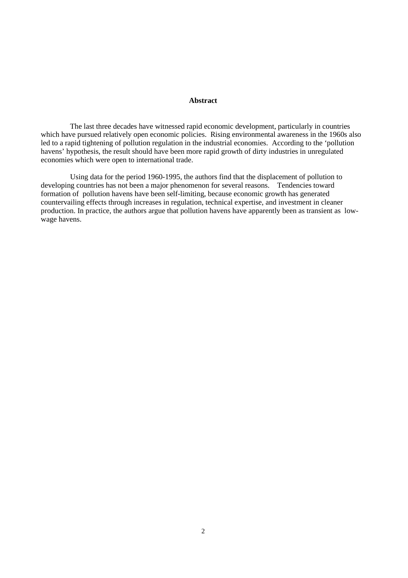### **Abstract**

The last three decades have witnessed rapid economic development, particularly in countries which have pursued relatively open economic policies. Rising environmental awareness in the 1960s also led to a rapid tightening of pollution regulation in the industrial economies. According to the 'pollution havens' hypothesis, the result should have been more rapid growth of dirty industries in unregulated economies which were open to international trade.

Using data for the period 1960-1995, the authors find that the displacement of pollution to developing countries has not been a major phenomenon for several reasons. Tendencies toward formation of pollution havens have been self-limiting, because economic growth has generated countervailing effects through increases in regulation, technical expertise, and investment in cleaner production. In practice, the authors argue that pollution havens have apparently been as transient as lowwage havens.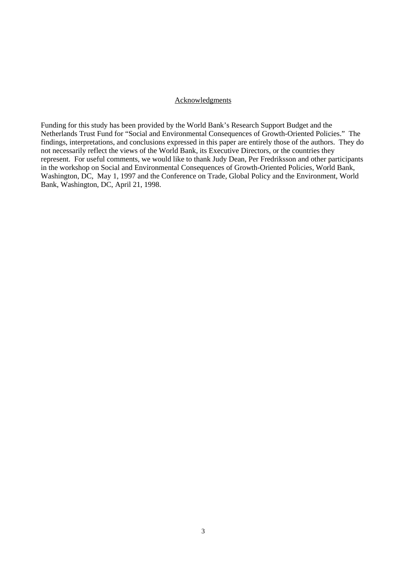#### Acknowledgments

Funding for this study has been provided by the World Bank's Research Support Budget and the Netherlands Trust Fund for "Social and Environmental Consequences of Growth-Oriented Policies." The findings, interpretations, and conclusions expressed in this paper are entirely those of the authors. They do not necessarily reflect the views of the World Bank, its Executive Directors, or the countries they represent. For useful comments, we would like to thank Judy Dean, Per Fredriksson and other participants in the workshop on Social and Environmental Consequences of Growth-Oriented Policies, World Bank, Washington, DC, May 1, 1997 and the Conference on Trade, Global Policy and the Environment, World Bank, Washington, DC, April 21, 1998.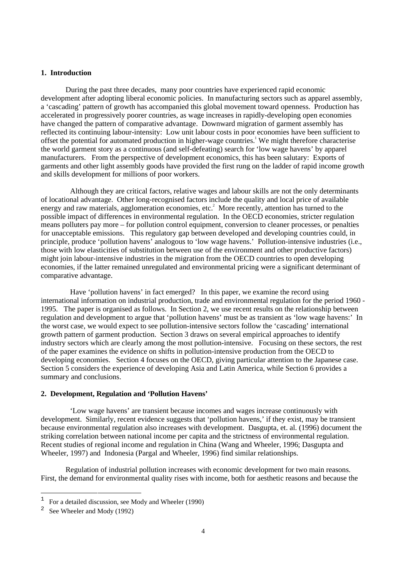### **1. Introduction**

During the past three decades, many poor countries have experienced rapid economic development after adopting liberal economic policies. In manufacturing sectors such as apparel assembly, a 'cascading' pattern of growth has accompanied this global movement toward openness. Production has accelerated in progressively poorer countries, as wage increases in rapidly-developing open economies have changed the pattern of comparative advantage. Downward migration of garment assembly has reflected its continuing labour-intensity: Low unit labour costs in poor economies have been sufficient to offset the potential for automated production in higher-wage countries.<sup>1</sup> We might therefore characterise the world garment story as a continuous (and self-defeating) search for 'low wage havens' by apparel manufacturers. From the perspective of development economics, this has been salutary: Exports of garments and other light assembly goods have provided the first rung on the ladder of rapid income growth and skills development for millions of poor workers.

Although they are critical factors, relative wages and labour skills are not the only determinants of locational advantage. Other long-recognised factors include the quality and local price of available energy and raw materials, agglomeration economies, etc.<sup>2</sup> More recently, attention has turned to the possible impact of differences in environmental regulation. In the OECD economies, stricter regulation means polluters pay more – for pollution control equipment, conversion to cleaner processes, or penalties for unacceptable emissions. This regulatory gap between developed and developing countries could, in principle, produce 'pollution havens' analogous to 'low wage havens.' Pollution-intensive industries (i.e., those with low elasticities of substitution between use of the environment and other productive factors) might join labour-intensive industries in the migration from the OECD countries to open developing economies, if the latter remained unregulated and environmental pricing were a significant determinant of comparative advantage.

Have 'pollution havens' in fact emerged? In this paper, we examine the record using international information on industrial production, trade and environmental regulation for the period 1960 - 1995. The paper is organised as follows. In Section 2, we use recent results on the relationship between regulation and development to argue that 'pollution havens' must be as transient as 'low wage havens:' In the worst case, we would expect to see pollution-intensive sectors follow the 'cascading' international growth pattern of garment production. Section 3 draws on several empirical approaches to identify industry sectors which are clearly among the most pollution-intensive. Focusing on these sectors, the rest of the paper examines the evidence on shifts in pollution-intensive production from the OECD to developing economies. Section 4 focuses on the OECD, giving particular attention to the Japanese case. Section 5 considers the experience of developing Asia and Latin America, while Section 6 provides a summary and conclusions.

# **2. Development, Regulation and 'Pollution Havens'**

'Low wage havens' are transient because incomes and wages increase continuously with development. Similarly, recent evidence suggests that 'pollution havens,' if they exist, may be transient because environmental regulation also increases with development. Dasgupta, et. al. (1996) document the striking correlation between national income per capita and the strictness of environmental regulation. Recent studies of regional income and regulation in China (Wang and Wheeler, 1996; Dasgupta and Wheeler, 1997) and Indonesia (Pargal and Wheeler, 1996) find similar relationships.

Regulation of industrial pollution increases with economic development for two main reasons. First, the demand for environmental quality rises with income, both for aesthetic reasons and because the

<sup>1</sup> For a detailed discussion, see Mody and Wheeler (1990)

See Wheeler and Mody (1992)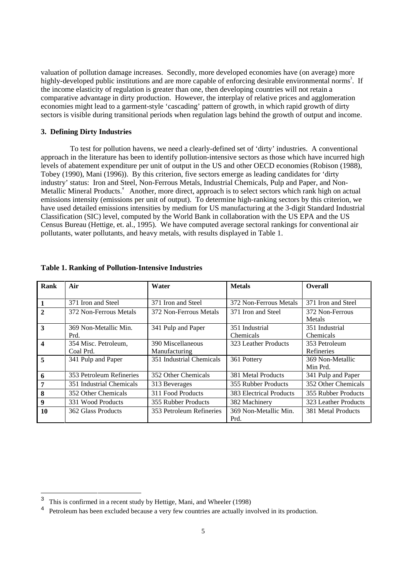valuation of pollution damage increases. Secondly, more developed economies have (on average) more highly-developed public institutions and are more capable of enforcing desirable environmental norms<sup>3</sup>. If the income elasticity of regulation is greater than one, then developing countries will not retain a comparative advantage in dirty production. However, the interplay of relative prices and agglomeration economies might lead to a garment-style 'cascading' pattern of growth, in which rapid growth of dirty sectors is visible during transitional periods when regulation lags behind the growth of output and income.

# **3. Defining Dirty Industries**

To test for pollution havens, we need a clearly-defined set of 'dirty' industries. A conventional approach in the literature has been to identify pollution-intensive sectors as those which have incurred high levels of abatement expenditure per unit of output in the US and other OECD economies (Robison (1988), Tobey (1990), Mani (1996)). By this criterion, five sectors emerge as leading candidates for 'dirty industry' status: Iron and Steel, Non-Ferrous Metals, Industrial Chemicals, Pulp and Paper, and Non-Metallic Mineral Products.<sup>4</sup> Another, more direct, approach is to select sectors which rank high on actual emissions intensity (emissions per unit of output). To determine high-ranking sectors by this criterion, we have used detailed emissions intensities by medium for US manufacturing at the 3-digit Standard Industrial Classification (SIC) level, computed by the World Bank in collaboration with the US EPA and the US Census Bureau (Hettige, et. al., 1995). We have computed average sectoral rankings for conventional air pollutants, water pollutants, and heavy metals, with results displayed in Table 1.

| Rank                    | Air                      | Water                    | <b>Metals</b>                  | <b>Overall</b>       |
|-------------------------|--------------------------|--------------------------|--------------------------------|----------------------|
|                         |                          |                          |                                |                      |
| $\mathbf{1}$            | 371 Iron and Steel       | 371 Iron and Steel       | 372 Non-Ferrous Metals         | 371 Iron and Steel   |
| $\overline{2}$          | 372 Non-Ferrous Metals   | 372 Non-Ferrous Metals   | 371 Iron and Steel             | 372 Non-Ferrous      |
|                         |                          |                          |                                | Metals               |
| $\mathbf{3}$            | 369 Non-Metallic Min.    | 341 Pulp and Paper       | 351 Industrial                 | 351 Industrial       |
|                         | Prd.                     |                          | Chemicals                      | Chemicals            |
| $\overline{\mathbf{4}}$ | 354 Misc. Petroleum,     | 390 Miscellaneous        | 323 Leather Products           | 353 Petroleum        |
|                         | Coal Prd.                | Manufacturing            |                                | Refineries           |
| 5                       | 341 Pulp and Paper       | 351 Industrial Chemicals | 361 Pottery                    | 369 Non-Metallic     |
|                         |                          |                          |                                | Min Prd.             |
| 6                       | 353 Petroleum Refineries | 352 Other Chemicals      | 381 Metal Products             | 341 Pulp and Paper   |
| $\overline{7}$          | 351 Industrial Chemicals | 313 Beverages            | 355 Rubber Products            | 352 Other Chemicals  |
| 8                       | 352 Other Chemicals      | 311 Food Products        | <b>383 Electrical Products</b> | 355 Rubber Products  |
| 9                       | 331 Wood Products        | 355 Rubber Products      | 382 Machinery                  | 323 Leather Products |
| <b>10</b>               | 362 Glass Products       | 353 Petroleum Refineries | 369 Non-Metallic Min.          | 381 Metal Products   |
|                         |                          |                          | Prd.                           |                      |

# **Table 1. Ranking of Pollution-Intensive Industries**

<sup>&</sup>lt;sup>3</sup> This is confirmed in a recent study by Hettige, Mani, and Wheeler (1998)

<sup>4</sup> Petroleum has been excluded because a very few countries are actually involved in its production.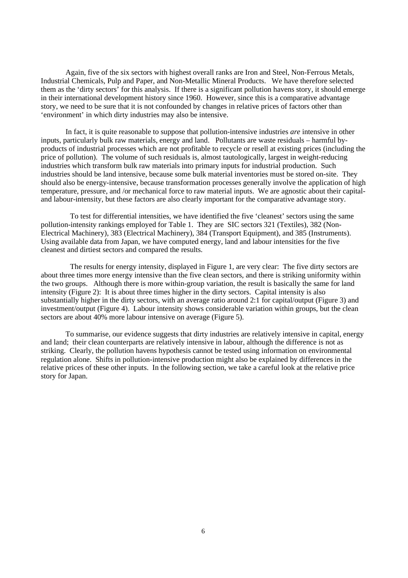Again, five of the six sectors with highest overall ranks are Iron and Steel, Non-Ferrous Metals, Industrial Chemicals, Pulp and Paper, and Non-Metallic Mineral Products. We have therefore selected them as the 'dirty sectors' for this analysis. If there is a significant pollution havens story, it should emerge in their international development history since 1960. However, since this is a comparative advantage story, we need to be sure that it is not confounded by changes in relative prices of factors other than 'environment' in which dirty industries may also be intensive.

In fact, it is quite reasonable to suppose that pollution-intensive industries *are* intensive in other inputs, particularly bulk raw materials, energy and land. Pollutants are waste residuals – harmful byproducts of industrial processes which are not profitable to recycle or resell at existing prices (including the price of pollution). The volume of such residuals is, almost tautologically, largest in weight-reducing industries which transform bulk raw materials into primary inputs for industrial production. Such industries should be land intensive, because some bulk material inventories must be stored on-site. They should also be energy-intensive, because transformation processes generally involve the application of high temperature, pressure, and /or mechanical force to raw material inputs. We are agnostic about their capitaland labour-intensity, but these factors are also clearly important for the comparative advantage story.

To test for differential intensities, we have identified the five 'cleanest' sectors using the same pollution-intensity rankings employed for Table 1. They are SIC sectors 321 (Textiles), 382 (Non-Electrical Machinery), 383 (Electrical Machinery), 384 (Transport Equipment), and 385 (Instruments). Using available data from Japan, we have computed energy, land and labour intensities for the five cleanest and dirtiest sectors and compared the results.

The results for energy intensity, displayed in Figure 1, are very clear: The five dirty sectors are about three times more energy intensive than the five clean sectors, and there is striking uniformity within the two groups. Although there is more within-group variation, the result is basically the same for land intensity (Figure 2): It is about three times higher in the dirty sectors. Capital intensity is also substantially higher in the dirty sectors, with an average ratio around 2:1 for capital/output (Figure 3) and investment/output (Figure 4). Labour intensity shows considerable variation within groups, but the clean sectors are about 40% more labour intensive on average (Figure 5).

To summarise, our evidence suggests that dirty industries are relatively intensive in capital, energy and land; their clean counterparts are relatively intensive in labour, although the difference is not as striking. Clearly, the pollution havens hypothesis cannot be tested using information on environmental regulation alone. Shifts in pollution-intensive production might also be explained by differences in the relative prices of these other inputs. In the following section, we take a careful look at the relative price story for Japan.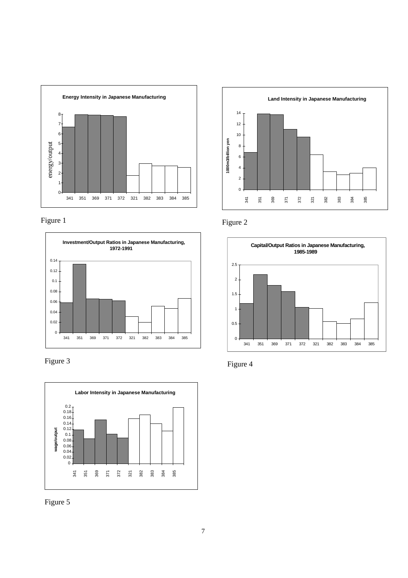





Figure 3



Figure 5







Figure 4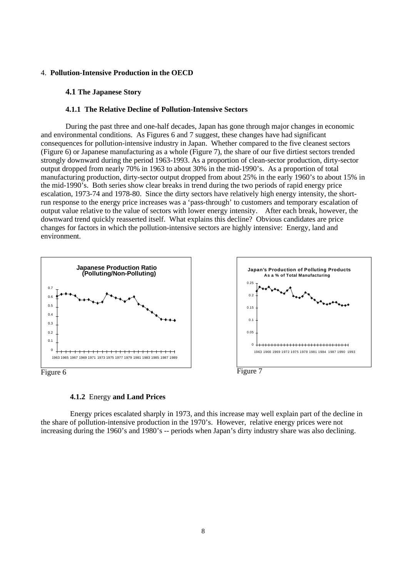### 4. **Pollution-Intensive Production in the OECD**

### **4.1 The Japanese Story**

# **4.1.1 The Relative Decline of Pollution-Intensive Sectors**

During the past three and one-half decades, Japan has gone through major changes in economic and environmental conditions. As Figures 6 and 7 suggest, these changes have had significant consequences for pollution-intensive industry in Japan. Whether compared to the five cleanest sectors (Figure 6) or Japanese manufacturing as a whole (Figure 7), the share of our five dirtiest sectors trended strongly downward during the period 1963-1993. As a proportion of clean-sector production, dirty-sector output dropped from nearly 70% in 1963 to about 30% in the mid-1990's. As a proportion of total manufacturing production, dirty-sector output dropped from about 25% in the early 1960's to about 15% in the mid-1990's. Both series show clear breaks in trend during the two periods of rapid energy price escalation, 1973-74 and 1978-80. Since the dirty sectors have relatively high energy intensity, the shortrun response to the energy price increases was a 'pass-through' to customers and temporary escalation of output value relative to the value of sectors with lower energy intensity. After each break, however, the downward trend quickly reasserted itself. What explains this decline? Obvious candidates are price changes for factors in which the pollution-intensive sectors are highly intensive: Energy, land and environment.



### **4.1.2** Energy **and Land Prices**

Energy prices escalated sharply in 1973, and this increase may well explain part of the decline in the share of pollution-intensive production in the 1970's. However, relative energy prices were not increasing during the 1960's and 1980's -- periods when Japan's dirty industry share was also declining.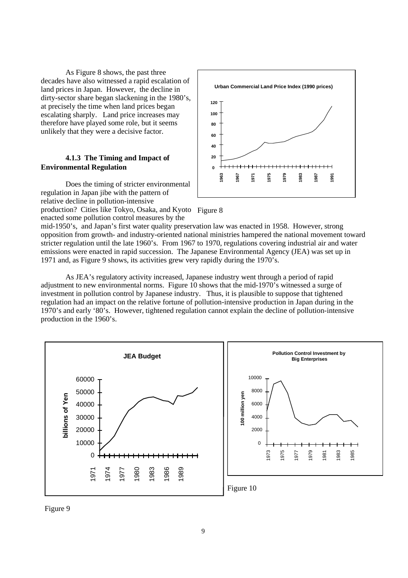As Figure 8 shows, the past three decades have also witnessed a rapid escalation of land prices in Japan. However, the decline in dirty-sector share began slackening in the 1980's, at precisely the time when land prices began escalating sharply. Land price increases may therefore have played some role, but it seems unlikely that they were a decisive factor.

# **4.1.3 The Timing and Impact of Environmental Regulation**

Does the timing of stricter environmental regulation in Japan jibe with the pattern of relative decline in pollution-intensive



production? Cities like Tokyo, Osaka, and Kyoto Figure 8 enacted some pollution control measures by the

mid-1950's, and Japan's first water quality preservation law was enacted in 1958. However, strong opposition from growth- and industry-oriented national ministries hampered the national movement toward stricter regulation until the late 1960's. From 1967 to 1970, regulations covering industrial air and water emissions were enacted in rapid succession. The Japanese Environmental Agency (JEA) was set up in 1971 and, as Figure 9 shows, its activities grew very rapidly during the 1970's.

As JEA's regulatory activity increased, Japanese industry went through a period of rapid adjustment to new environmental norms. Figure 10 shows that the mid-1970's witnessed a surge of investment in pollution control by Japanese industry. Thus, it is plausible to suppose that tightened regulation had an impact on the relative fortune of pollution-intensive production in Japan during in the 1970's and early '80's. However, tightened regulation cannot explain the decline of pollution-intensive production in the 1960's.



Figure 9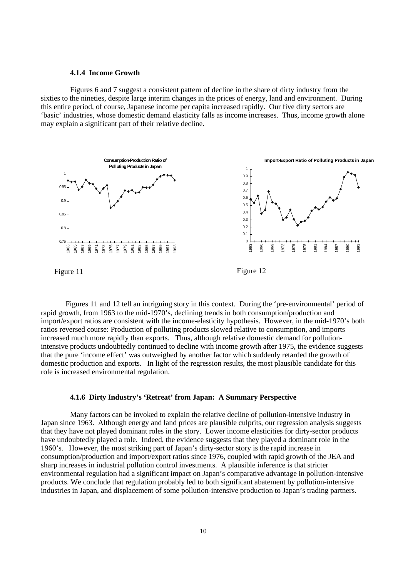#### **4.1.4 Income Growth**

Figures 6 and 7 suggest a consistent pattern of decline in the share of dirty industry from the sixties to the nineties, despite large interim changes in the prices of energy, land and environment. During this entire period, of course, Japanese income per capita increased rapidly. Our five dirty sectors are 'basic' industries, whose domestic demand elasticity falls as income increases. Thus, income growth alone may explain a significant part of their relative decline.



Figures 11 and 12 tell an intriguing story in this context. During the 'pre-environmental' period of rapid growth, from 1963 to the mid-1970's, declining trends in both consumption/production and import/export ratios are consistent with the income-elasticity hypothesis. However, in the mid-1970's both ratios reversed course: Production of polluting products slowed relative to consumption, and imports increased much more rapidly than exports. Thus, although relative domestic demand for pollutionintensive products undoubtedly continued to decline with income growth after 1975, the evidence suggests that the pure 'income effect' was outweighed by another factor which suddenly retarded the growth of domestic production and exports. In light of the regression results, the most plausible candidate for this role is increased environmental regulation.

# **4.1.6 Dirty Industry's 'Retreat' from Japan: A Summary Perspective**

Many factors can be invoked to explain the relative decline of pollution-intensive industry in Japan since 1963. Although energy and land prices are plausible culprits, our regression analysis suggests that they have not played dominant roles in the story. Lower income elasticities for dirty-sector products have undoubtedly played a role. Indeed, the evidence suggests that they played a dominant role in the 1960's. However, the most striking part of Japan's dirty-sector story is the rapid increase in consumption/production and import/export ratios since 1976, coupled with rapid growth of the JEA and sharp increases in industrial pollution control investments. A plausible inference is that stricter environmental regulation had a significant impact on Japan's comparative advantage in pollution-intensive products. We conclude that regulation probably led to both significant abatement by pollution-intensive industries in Japan, and displacement of some pollution-intensive production to Japan's trading partners.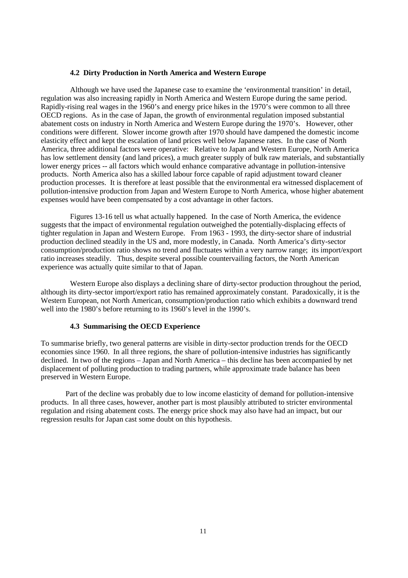### **4.2 Dirty Production in North America and Western Europe**

Although we have used the Japanese case to examine the 'environmental transition' in detail, regulation was also increasing rapidly in North America and Western Europe during the same period. Rapidly-rising real wages in the 1960's and energy price hikes in the 1970's were common to all three OECD regions. As in the case of Japan, the growth of environmental regulation imposed substantial abatement costs on industry in North America and Western Europe during the 1970's. However, other conditions were different. Slower income growth after 1970 should have dampened the domestic income elasticity effect and kept the escalation of land prices well below Japanese rates. In the case of North America, three additional factors were operative: Relative to Japan and Western Europe, North America has low settlement density (and land prices), a much greater supply of bulk raw materials, and substantially lower energy prices -- all factors which would enhance comparative advantage in pollution-intensive products. North America also has a skilled labour force capable of rapid adjustment toward cleaner production processes. It is therefore at least possible that the environmental era witnessed displacement of pollution-intensive production from Japan and Western Europe to North America, whose higher abatement expenses would have been compensated by a cost advantage in other factors.

Figures 13-16 tell us what actually happened. In the case of North America, the evidence suggests that the impact of environmental regulation outweighed the potentially-displacing effects of tighter regulation in Japan and Western Europe. From 1963 - 1993, the dirty-sector share of industrial production declined steadily in the US and, more modestly, in Canada. North America's dirty-sector consumption/production ratio shows no trend and fluctuates within a very narrow range; its import/export ratio increases steadily. Thus, despite several possible countervailing factors, the North American experience was actually quite similar to that of Japan.

Western Europe also displays a declining share of dirty-sector production throughout the period, although its dirty-sector import/export ratio has remained approximately constant. Paradoxically, it is the Western European, not North American, consumption/production ratio which exhibits a downward trend well into the 1980's before returning to its 1960's level in the 1990's.

# **4.3 Summarising the OECD Experience**

To summarise briefly, two general patterns are visible in dirty-sector production trends for the OECD economies since 1960. In all three regions, the share of pollution-intensive industries has significantly declined. In two of the regions – Japan and North America – this decline has been accompanied by net displacement of polluting production to trading partners, while approximate trade balance has been preserved in Western Europe.

Part of the decline was probably due to low income elasticity of demand for pollution-intensive products. In all three cases, however, another part is most plausibly attributed to stricter environmental regulation and rising abatement costs. The energy price shock may also have had an impact, but our regression results for Japan cast some doubt on this hypothesis.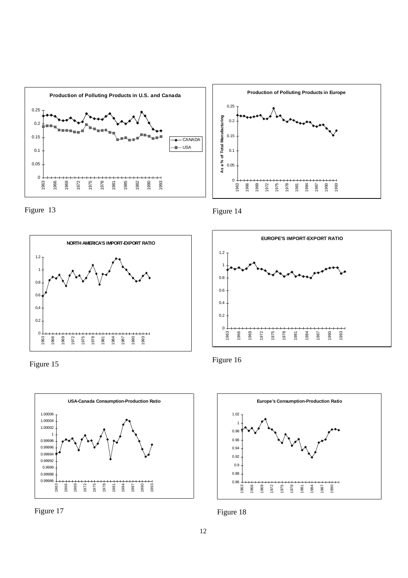

Figure 13



Figure 15



Figure 17







Figure 16



Figure 18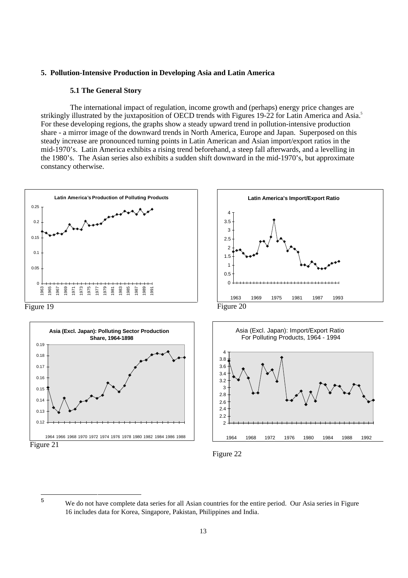### **5. Pollution-Intensive Production in Developing Asia and Latin America**

### **5.1 The General Story**

The international impact of regulation, income growth and (perhaps) energy price changes are strikingly illustrated by the juxtaposition of OECD trends with Figures 19-22 for Latin America and Asia.<sup>5</sup> For these developing regions, the graphs show a steady upward trend in pollution-intensive production share - a mirror image of the downward trends in North America, Europe and Japan. Superposed on this steady increase are pronounced turning points in Latin American and Asian import/export ratios in the mid-1970's. Latin America exhibits a rising trend beforehand, a steep fall afterwards, and a levelling in the 1980's. The Asian series also exhibits a sudden shift downward in the mid-1970's, but approximate constancy otherwise.



Figure 22

<sup>&</sup>lt;sup>5</sup> We do not have complete data series for all Asian countries for the entire period. Our Asia series in Figure 16 includes data for Korea, Singapore, Pakistan, Philippines and India.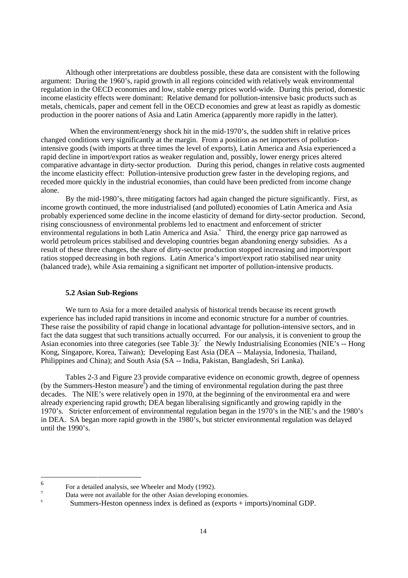Although other interpretations are doubtless possible, these data are consistent with the following argument: During the 1960's, rapid growth in all regions coincided with relatively weak environmental regulation in the OECD economies and low, stable energy prices world-wide. During this period, domestic income elasticity effects were dominant: Relative demand for pollution-intensive basic products such as metals, chemicals, paper and cement fell in the OECD economies and grew at least as rapidly as domestic production in the poorer nations of Asia and Latin America (apparently more rapidly in the latter).

When the environment/energy shock hit in the mid-1970's, the sudden shift in relative prices changed conditions very significantly at the margin. From a position as net importers of pollutionintensive goods (with imports at three times the level of exports), Latin America and Asia experienced a rapid decline in import/export ratios as weaker regulation and, possibly, lower energy prices altered comparative advantage in dirty-sector production. During this period, changes in relative costs augmented the income elasticity effect: Pollution-intensive production grew faster in the developing regions, and receded more quickly in the industrial economies, than could have been predicted from income change alone.

By the mid-1980's, three mitigating factors had again changed the picture significantly. First, as income growth continued, the more industrialised (and polluted) economies of Latin America and Asia probably experienced some decline in the income elasticity of demand for dirty-sector production. Second, rising consciousness of environmental problems led to enactment and enforcement of stricter environmental regulations in both Latin America and Asia.<sup>6</sup> Third, the energy price gap narrowed as world petroleum prices stabilised and developing countries began abandoning energy subsidies. As a result of these three changes, the share of dirty-sector production stopped increasing and import/export ratios stopped decreasing in both regions. Latin America's import/export ratio stabilised near unity (balanced trade), while Asia remaining a significant net importer of pollution-intensive products.

### **5.2 Asian Sub-Regions**

We turn to Asia for a more detailed analysis of historical trends because its recent growth experience has included rapid transitions in income and economic structure for a number of countries. These raise the possibility of rapid change in locational advantage for pollution-intensive sectors, and in fact the data suggest that such transitions actually occurred. For our analysis, it is convenient to group the Asian economies into three categories (see Table 3):<sup>7</sup> the Newly Industrialising Economies (NIE's -- Hong Kong, Singapore, Korea, Taiwan); Developing East Asia (DEA -- Malaysia, Indonesia, Thailand, Philippines and China); and South Asia (SA -- India, Pakistan, Bangladesh, Sri Lanka).

Tables 2-3 and Figure 23 provide comparative evidence on economic growth, degree of openness (by the Summers-Heston measure $\bar{s}$ ) and the timing of environmental regulation during the past three decades. The NIE's were relatively open in 1970, at the beginning of the environmental era and were already experiencing rapid growth; DEA began liberalising significantly and growing rapidly in the 1970's. Stricter enforcement of environmental regulation began in the 1970's in the NIE's and the 1980's in DEA. SA began more rapid growth in the 1980's, but stricter environmental regulation was delayed until the 1990's.

 $\frac{6}{7}$  For a detailed analysis, see Wheeler and Mody (1992).

Data were not available for the other Asian developing economies.

<sup>8</sup> Summers-Heston openness index is defined as (exports + imports)/nominal GDP.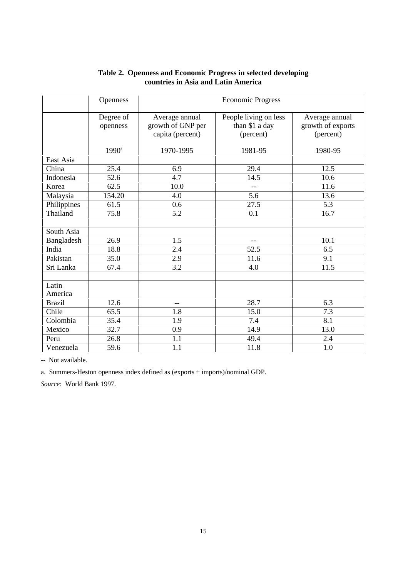|                  | Openness              | <b>Economic Progress</b>                                |                                                      |                                                  |
|------------------|-----------------------|---------------------------------------------------------|------------------------------------------------------|--------------------------------------------------|
|                  | Degree of<br>openness | Average annual<br>growth of GNP per<br>capita (percent) | People living on less<br>than \$1 a day<br>(percent) | Average annual<br>growth of exports<br>(percent) |
|                  | $1990^{\circ}$        | 1970-1995                                               | 1981-95                                              | 1980-95                                          |
| East Asia        |                       |                                                         |                                                      |                                                  |
| China            | 25.4                  | 6.9                                                     | 29.4                                                 | 12.5                                             |
| Indonesia        | 52.6                  | 4.7                                                     | 14.5                                                 | 10.6                                             |
| Korea            | 62.5                  | 10.0                                                    | --                                                   | 11.6                                             |
| Malaysia         | 154.20                | 4.0                                                     | 5.6                                                  | 13.6                                             |
| Philippines      | 61.5                  | 0.6                                                     | 27.5                                                 | 5.3                                              |
| Thailand         | 75.8                  | 5.2                                                     | 0.1                                                  | 16.7                                             |
|                  |                       |                                                         |                                                      |                                                  |
| South Asia       |                       |                                                         |                                                      |                                                  |
| Bangladesh       | 26.9                  | 1.5                                                     | $-$                                                  | 10.1                                             |
| India            | 18.8                  | 2.4                                                     | 52.5                                                 | 6.5                                              |
| Pakistan         | 35.0                  | 2.9                                                     | 11.6                                                 | 9.1                                              |
| Sri Lanka        | 67.4                  | 3.2                                                     | 4.0                                                  | 11.5                                             |
|                  |                       |                                                         |                                                      |                                                  |
| Latin<br>America |                       |                                                         |                                                      |                                                  |
| <b>Brazil</b>    | 12.6                  | $- -$                                                   | 28.7                                                 | 6.3                                              |
| Chile            | 65.5                  | 1.8                                                     | 15.0                                                 | 7.3                                              |
| Colombia         | 35.4                  | 1.9                                                     | 7.4                                                  | 8.1                                              |
| Mexico           | 32.7                  | 0.9                                                     | 14.9                                                 | 13.0                                             |
| Peru             | 26.8                  | 1.1                                                     | 49.4                                                 | 2.4                                              |
| Venezuela        | 59.6                  | 1.1                                                     | 11.8                                                 | 1.0                                              |

# **Table 2. Openness and Economic Progress in selected developing countries in Asia and Latin America**

-- Not available.

a. Summers-Heston openness index defined as (exports + imports)/nominal GDP.

*Source*: World Bank 1997.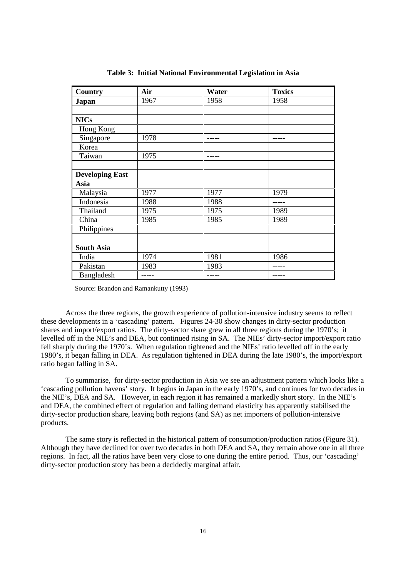| <b>Country</b>         | Air  | Water | <b>Toxics</b> |
|------------------------|------|-------|---------------|
| Japan                  | 1967 | 1958  | 1958          |
|                        |      |       |               |
| <b>NICs</b>            |      |       |               |
| Hong Kong              |      |       |               |
| Singapore              | 1978 | ----- |               |
| Korea                  |      |       |               |
| Taiwan                 | 1975 |       |               |
|                        |      |       |               |
| <b>Developing East</b> |      |       |               |
| Asia                   |      |       |               |
| Malaysia               | 1977 | 1977  | 1979          |
| Indonesia              | 1988 | 1988  |               |
| Thailand               | 1975 | 1975  | 1989          |
| China                  | 1985 | 1985  | 1989          |
| Philippines            |      |       |               |
|                        |      |       |               |
| <b>South Asia</b>      |      |       |               |
| India                  | 1974 | 1981  | 1986          |
| Pakistan               | 1983 | 1983  |               |
| Bangladesh             |      |       |               |

**Table 3: Initial National Environmental Legislation in Asia**

Source: Brandon and Ramankutty (1993)

Across the three regions, the growth experience of pollution-intensive industry seems to reflect these developments in a 'cascading' pattern. Figures 24-30 show changes in dirty-sector production shares and import/export ratios. The dirty-sector share grew in all three regions during the 1970's; it levelled off in the NIE's and DEA, but continued rising in SA. The NIEs' dirty-sector import/export ratio fell sharply during the 1970's. When regulation tightened and the NIEs' ratio levelled off in the early 1980's, it began falling in DEA. As regulation tightened in DEA during the late 1980's, the import/export ratio began falling in SA.

To summarise, for dirty-sector production in Asia we see an adjustment pattern which looks like a 'cascading pollution havens' story. It begins in Japan in the early 1970's, and continues for two decades in the NIE's, DEA and SA. However, in each region it has remained a markedly short story. In the NIE's and DEA, the combined effect of regulation and falling demand elasticity has apparently stabilised the dirty-sector production share, leaving both regions (and SA) as net importers of pollution-intensive products.

The same story is reflected in the historical pattern of consumption/production ratios (Figure 31). Although they have declined for over two decades in both DEA and SA, they remain above one in all three regions. In fact, all the ratios have been very close to one during the entire period. Thus, our 'cascading' dirty-sector production story has been a decidedly marginal affair.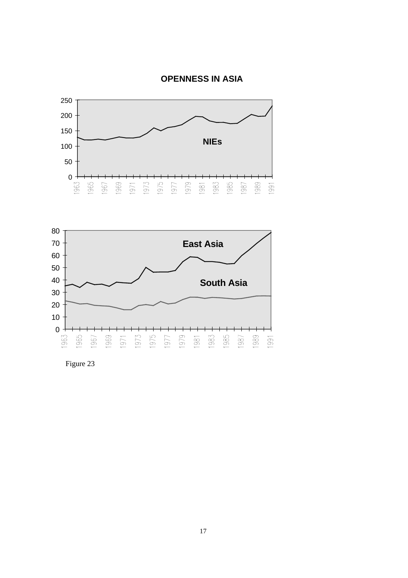





Figure 23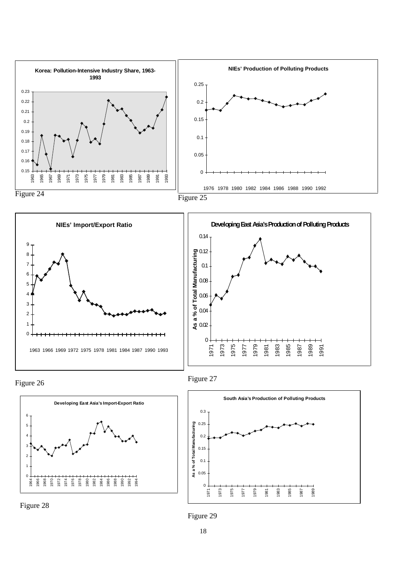





Figure 26



Figure 28





Figure 29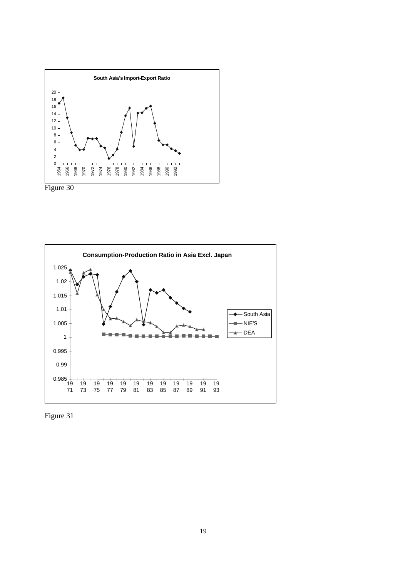



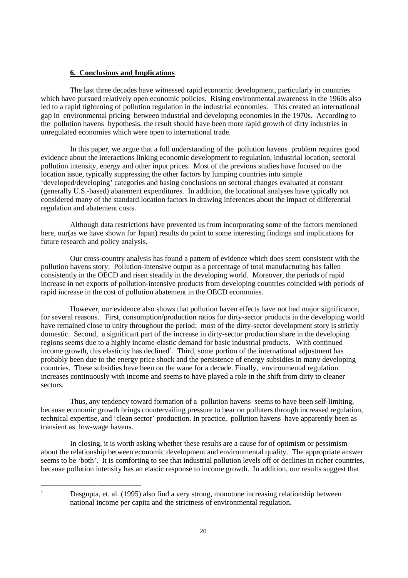# **6. Conclusions and Implications**

The last three decades have witnessed rapid economic development, particularly in countries which have pursued relatively open economic policies. Rising environmental awareness in the 1960s also led to a rapid tightening of pollution regulation in the industrial economies. This created an international gap in environmental pricing between industrial and developing economies in the 1970s. According to the pollution havens hypothesis, the result should have been more rapid growth of dirty industries in unregulated economies which were open to international trade.

In this paper, we argue that a full understanding of the pollution havens problem requires good evidence about the interactions linking economic development to regulation, industrial location, sectoral pollution intensity, energy and other input prices. Most of the previous studies have focused on the location issue, typically suppressing the other factors by lumping countries into simple 'developed/developing' categories and basing conclusions on sectoral changes evaluated at constant (generally U.S.-based) abatement expenditures. In addition, the locational analyses have typically not considered many of the standard location factors in drawing inferences about the impact of differential regulation and abatement costs.

Although data restrictions have prevented us from incorporating some of the factors mentioned here, our (as we have shown for Japan) results do point to some interesting findings and implications for future research and policy analysis.

Our cross-country analysis has found a pattern of evidence which does seem consistent with the pollution havens story: Pollution-intensive output as a percentage of total manufacturing has fallen consistently in the OECD and risen steadily in the developing world. Moreover, the periods of rapid increase in net exports of pollution-intensive products from developing countries coincided with periods of rapid increase in the cost of pollution abatement in the OECD economies.

However, our evidence also shows that pollution haven effects have not had major significance, for several reasons. First, consumption/production ratios for dirty-sector products in the developing world have remained close to unity throughout the period; most of the dirty-sector development story is strictly domestic. Second, a significant part of the increase in dirty-sector production share in the developing regions seems due to a highly income-elastic demand for basic industrial products. With continued income growth, this elasticity has declined<sup>9</sup>. Third, some portion of the international adjustment has probably been due to the energy price shock and the persistence of energy subsidies in many developing countries. These subsidies have been on the wane for a decade. Finally, environmental regulation increases continuously with income and seems to have played a role in the shift from dirty to cleaner sectors.

Thus, any tendency toward formation of a pollution havens seems to have been self-limiting, because economic growth brings countervailing pressure to bear on polluters through increased regulation, technical expertise, and 'clean sector' production. In practice, pollution havens have apparently been as transient as low-wage havens.

In closing, it is worth asking whether these results are a cause for of optimism or pessimism about the relationship between economic development and environmental quality. The appropriate answer seems to be 'both'. It is comforting to see that industrial pollution levels off or declines in richer countries, because pollution intensity has an elastic response to income growth. In addition, our results suggest that

Dasgupta, et. al. (1995) also find a very strong, monotone increasing relationship between national income per capita and the strictness of environmental regulation.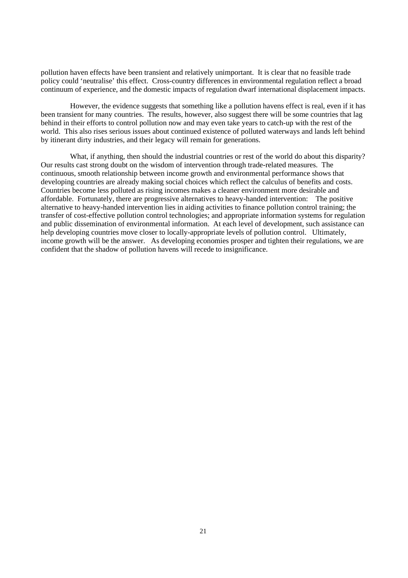pollution haven effects have been transient and relatively unimportant. It is clear that no feasible trade policy could 'neutralise' this effect. Cross-country differences in environmental regulation reflect a broad continuum of experience, and the domestic impacts of regulation dwarf international displacement impacts.

However, the evidence suggests that something like a pollution havens effect is real, even if it has been transient for many countries. The results, however, also suggest there will be some countries that lag behind in their efforts to control pollution now and may even take years to catch-up with the rest of the world. This also rises serious issues about continued existence of polluted waterways and lands left behind by itinerant dirty industries, and their legacy will remain for generations.

What, if anything, then should the industrial countries or rest of the world do about this disparity? Our results cast strong doubt on the wisdom of intervention through trade-related measures. The continuous, smooth relationship between income growth and environmental performance shows that developing countries are already making social choices which reflect the calculus of benefits and costs. Countries become less polluted as rising incomes makes a cleaner environment more desirable and affordable. Fortunately, there are progressive alternatives to heavy-handed intervention: The positive alternative to heavy-handed intervention lies in aiding activities to finance pollution control training; the transfer of cost-effective pollution control technologies; and appropriate information systems for regulation and public dissemination of environmental information. At each level of development, such assistance can help developing countries move closer to locally-appropriate levels of pollution control. Ultimately, income growth will be the answer. As developing economies prosper and tighten their regulations, we are confident that the shadow of pollution havens will recede to insignificance.